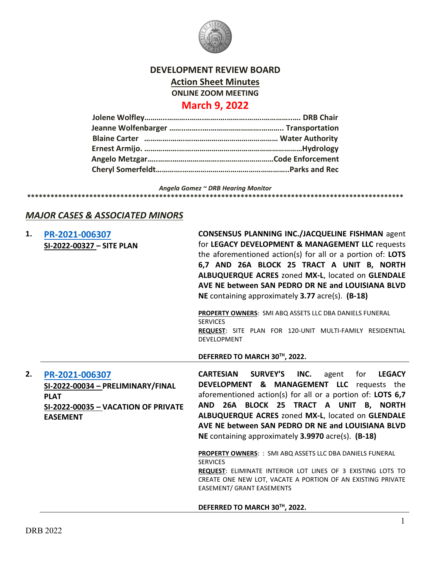

# **DEVELOPMENT REVIEW BOARD Action Sheet Minutes ONLINE ZOOM MEETING**

## **March 9, 2022**

#### *Angela Gomez ~ DRB Hearing Monitor* **\*\*\*\*\*\*\*\*\*\*\*\*\*\*\*\*\*\*\*\*\*\*\*\*\*\*\*\*\*\*\*\*\*\*\*\*\*\*\*\*\*\*\*\*\*\*\*\*\*\*\*\*\*\*\*\*\*\*\*\*\*\*\*\*\*\*\*\*\*\*\*\*\*\*\*\*\*\*\*\*\*\*\*\*\*\*\*\*\*\*\*\*\*\*\*\*\***

### *MAJOR CASES & ASSOCIATED MINORS*

| 1. | PR-2021-006307<br>SI-2022-00327 - SITE PLAN                                                                                  | <b>CONSENSUS PLANNING INC./JACQUELINE FISHMAN agent</b><br>for LEGACY DEVELOPMENT & MANAGEMENT LLC requests<br>the aforementioned action(s) for all or a portion of: LOTS<br>6,7 AND 26A BLOCK 25 TRACT A UNIT B, NORTH<br>ALBUQUERQUE ACRES zoned MX-L, located on GLENDALE<br>AVE NE between SAN PEDRO DR NE and LOUISIANA BLVD<br>NE containing approximately 3.77 acre(s). (B-18)                                                                                                                                                                                                                                                                                                   |
|----|------------------------------------------------------------------------------------------------------------------------------|-----------------------------------------------------------------------------------------------------------------------------------------------------------------------------------------------------------------------------------------------------------------------------------------------------------------------------------------------------------------------------------------------------------------------------------------------------------------------------------------------------------------------------------------------------------------------------------------------------------------------------------------------------------------------------------------|
|    |                                                                                                                              | PROPERTY OWNERS: SMI ABQ ASSETS LLC DBA DANIELS FUNERAL<br><b>SERVICES</b><br>REQUEST: SITE PLAN FOR 120-UNIT MULTI-FAMILY RESIDENTIAL<br><b>DEVELOPMENT</b>                                                                                                                                                                                                                                                                                                                                                                                                                                                                                                                            |
|    |                                                                                                                              | DEFERRED TO MARCH 30TH, 2022.                                                                                                                                                                                                                                                                                                                                                                                                                                                                                                                                                                                                                                                           |
| 2. | PR-2021-006307<br>SI-2022-00034 - PRELIMINARY/FINAL<br><b>PLAT</b><br>SI-2022-00035 - VACATION OF PRIVATE<br><b>EASEMENT</b> | <b>SURVEY'S</b><br><b>CARTESIAN</b><br>INC.<br>for<br><b>LEGACY</b><br>agent<br>DEVELOPMENT & MANAGEMENT LLC requests the<br>aforementioned action(s) for all or a portion of: LOTS 6,7<br>26A BLOCK 25 TRACT A UNIT B, NORTH<br>AND<br>ALBUQUERQUE ACRES zoned MX-L, located on GLENDALE<br>AVE NE between SAN PEDRO DR NE and LOUISIANA BLVD<br>NE containing approximately 3.9970 acre(s). (B-18)<br>PROPERTY OWNERS: : SMI ABQ ASSETS LLC DBA DANIELS FUNERAL<br><b>SERVICES</b><br>REQUEST: ELIMINATE INTERIOR LOT LINES OF 3 EXISTING LOTS TO<br>CREATE ONE NEW LOT, VACATE A PORTION OF AN EXISTING PRIVATE<br><b>EASEMENT/ GRANT EASEMENTS</b><br>DEFERRED TO MARCH 30TH, 2022. |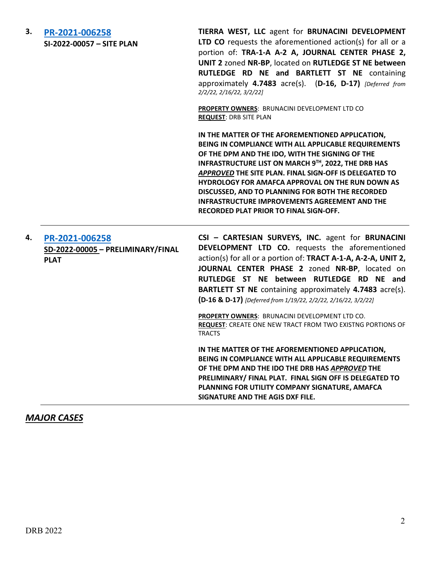| 3. | PR-2021-006258<br>SI-2022-00057 - SITE PLAN                        | TIERRA WEST, LLC agent for BRUNACINI DEVELOPMENT<br>LTD CO requests the aforementioned action(s) for all or a<br>portion of: TRA-1-A A-2 A, JOURNAL CENTER PHASE 2,<br>UNIT 2 zoned NR-BP, located on RUTLEDGE ST NE between<br>RUTLEDGE RD NE and BARTLETT ST NE containing<br>approximately 4.7483 acre(s). (D-16, D-17) [Deferred from                                                                                                                                                                          |
|----|--------------------------------------------------------------------|--------------------------------------------------------------------------------------------------------------------------------------------------------------------------------------------------------------------------------------------------------------------------------------------------------------------------------------------------------------------------------------------------------------------------------------------------------------------------------------------------------------------|
|    |                                                                    | 2/2/22, 2/16/22, 3/2/22]<br>PROPERTY OWNERS: BRUNACINI DEVELOPMENT LTD CO<br><b>REQUEST: DRB SITE PLAN</b>                                                                                                                                                                                                                                                                                                                                                                                                         |
|    |                                                                    | IN THE MATTER OF THE AFOREMENTIONED APPLICATION,<br>BEING IN COMPLIANCE WITH ALL APPLICABLE REQUIREMENTS<br>OF THE DPM AND THE IDO, WITH THE SIGNING OF THE<br>INFRASTRUCTURE LIST ON MARCH 9TH, 2022, THE DRB HAS<br>APPROVED THE SITE PLAN. FINAL SIGN-OFF IS DELEGATED TO<br><b>HYDROLOGY FOR AMAFCA APPROVAL ON THE RUN DOWN AS</b><br>DISCUSSED, AND TO PLANNING FOR BOTH THE RECORDED<br><b>INFRASTRUCTURE IMPROVEMENTS AGREEMENT AND THE</b><br>RECORDED PLAT PRIOR TO FINAL SIGN-OFF.                      |
| 4. | PR-2021-006258<br>SD-2022-00005 - PRELIMINARY/FINAL<br><b>PLAT</b> | CSI - CARTESIAN SURVEYS, INC. agent for BRUNACINI<br>DEVELOPMENT LTD CO. requests the aforementioned<br>action(s) for all or a portion of: TRACT A-1-A, A-2-A, UNIT 2,<br>JOURNAL CENTER PHASE 2 zoned NR-BP, located on<br>RUTLEDGE ST NE between RUTLEDGE RD NE and<br>BARTLETT ST NE containing approximately 4.7483 acre(s).<br>(D-16 & D-17) [Deferred from 1/19/22, 2/2/22, 2/16/22, 3/2/22]<br>PROPERTY OWNERS: BRUNACINI DEVELOPMENT LTD CO.<br>REQUEST: CREATE ONE NEW TRACT FROM TWO EXISTNG PORTIONS OF |
|    |                                                                    | <b>TRACTS</b><br>IN THE MATTER OF THE AFOREMENTIONED APPLICATION,<br>BEING IN COMPLIANCE WITH ALL APPLICABLE REQUIREMENTS<br>OF THE DPM AND THE IDO THE DRB HAS APPROVED THE<br>PRELIMINARY/ FINAL PLAT. FINAL SIGN OFF IS DELEGATED TO<br>PLANNING FOR UTILITY COMPANY SIGNATURE, AMAFCA                                                                                                                                                                                                                          |

**SIGNATURE AND THE AGIS DXF FILE.**

# *MAJOR CASES*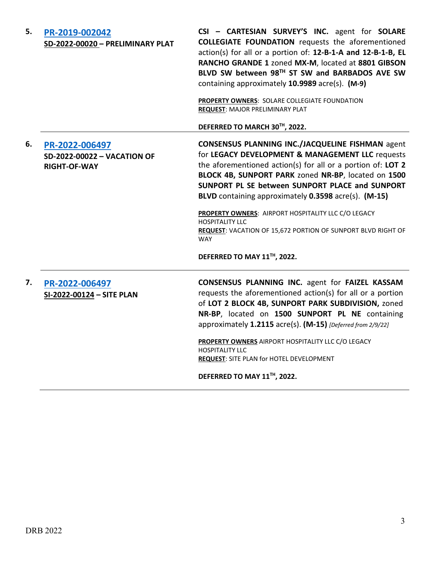| 5. | PR-2019-002042<br>SD-2022-00020 - PRELIMINARY PLAT                          | CSI - CARTESIAN SURVEY'S INC. agent for SOLARE<br><b>COLLEGIATE FOUNDATION</b> requests the aforementioned<br>action(s) for all or a portion of: 12-B-1-A and 12-B-1-B, EL<br>RANCHO GRANDE 1 zoned MX-M, located at 8801 GIBSON<br>BLVD SW between 98TH ST SW and BARBADOS AVE SW<br>containing approximately 10.9989 acre(s). (M-9)<br>PROPERTY OWNERS: SOLARE COLLEGIATE FOUNDATION<br><b>REQUEST: MAJOR PRELIMINARY PLAT</b><br>DEFERRED TO MARCH 30TH, 2022. |
|----|-----------------------------------------------------------------------------|-------------------------------------------------------------------------------------------------------------------------------------------------------------------------------------------------------------------------------------------------------------------------------------------------------------------------------------------------------------------------------------------------------------------------------------------------------------------|
| 6. | PR-2022-006497<br><b>SD-2022-00022 - VACATION OF</b><br><b>RIGHT-OF-WAY</b> | <b>CONSENSUS PLANNING INC./JACQUELINE FISHMAN agent</b><br>for LEGACY DEVELOPMENT & MANAGEMENT LLC requests<br>the aforementioned action(s) for all or a portion of: LOT 2                                                                                                                                                                                                                                                                                        |
|    |                                                                             | BLOCK 4B, SUNPORT PARK zoned NR-BP, located on 1500<br>SUNPORT PL SE between SUNPORT PLACE and SUNPORT<br>BLVD containing approximately 0.3598 acre(s). (M-15)                                                                                                                                                                                                                                                                                                    |
|    |                                                                             | PROPERTY OWNERS: AIRPORT HOSPITALITY LLC C/O LEGACY<br><b>HOSPITALITY LLC</b><br><b>REQUEST: VACATION OF 15,672 PORTION OF SUNPORT BLVD RIGHT OF</b><br><b>WAY</b>                                                                                                                                                                                                                                                                                                |
|    |                                                                             | DEFERRED TO MAY 11TH, 2022.                                                                                                                                                                                                                                                                                                                                                                                                                                       |
| 7. | PR-2022-006497                                                              | CONSENSUS PLANNING INC. agent for FAIZEL KASSAM                                                                                                                                                                                                                                                                                                                                                                                                                   |
|    | SI-2022-00124 - SITE PLAN                                                   | requests the aforementioned action(s) for all or a portion<br>of LOT 2 BLOCK 4B, SUNPORT PARK SUBDIVISION, zoned<br>NR-BP, located on 1500 SUNPORT PL NE containing<br>approximately 1.2115 acre(s). (M-15) [Deferred from 2/9/22]                                                                                                                                                                                                                                |
|    |                                                                             | PROPERTY OWNERS AIRPORT HOSPITALITY LLC C/O LEGACY<br><b>HOSPITALITY LLC</b><br><b>REQUEST: SITE PLAN for HOTEL DEVELOPMENT</b>                                                                                                                                                                                                                                                                                                                                   |
|    |                                                                             | DEFERRED TO MAY 11™, 2022.                                                                                                                                                                                                                                                                                                                                                                                                                                        |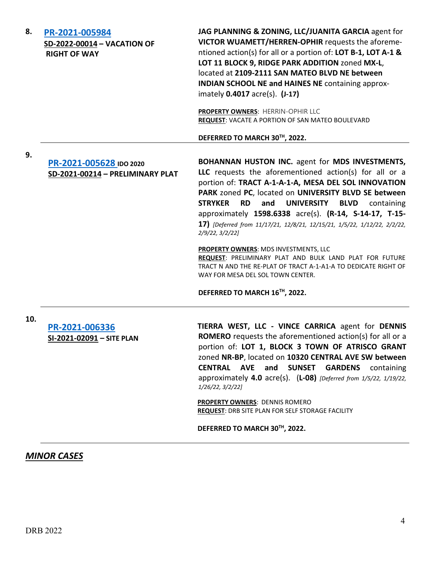| 8.  | PR-2021-005984<br>SD-2022-00014 - VACATION OF<br><b>RIGHT OF WAY</b> | JAG PLANNING & ZONING, LLC/JUANITA GARCIA agent for<br>VICTOR WUAMETT/HERREN-OPHIR requests the aforeme-<br>ntioned action(s) for all or a portion of: LOT B-1, LOT A-1 &<br>LOT 11 BLOCK 9, RIDGE PARK ADDITION zoned MX-L,<br>located at 2109-2111 SAN MATEO BLVD NE between<br><b>INDIAN SCHOOL NE and HAINES NE containing approx-</b><br>imately 0.4017 acre(s). (J-17)<br>PROPERTY OWNERS: HERRIN-OPHIR LLC                                                                                                                                                                                                                                                                                                                   |
|-----|----------------------------------------------------------------------|-------------------------------------------------------------------------------------------------------------------------------------------------------------------------------------------------------------------------------------------------------------------------------------------------------------------------------------------------------------------------------------------------------------------------------------------------------------------------------------------------------------------------------------------------------------------------------------------------------------------------------------------------------------------------------------------------------------------------------------|
|     |                                                                      | REQUEST: VACATE A PORTION OF SAN MATEO BOULEVARD                                                                                                                                                                                                                                                                                                                                                                                                                                                                                                                                                                                                                                                                                    |
|     |                                                                      | DEFERRED TO MARCH 30TH, 2022.                                                                                                                                                                                                                                                                                                                                                                                                                                                                                                                                                                                                                                                                                                       |
| 9.  | PR-2021-005628 IDO 2020<br>SD-2021-00214 - PRELIMINARY PLAT          | <b>BOHANNAN HUSTON INC. agent for MDS INVESTMENTS,</b><br>LLC requests the aforementioned action(s) for all or a<br>portion of: TRACT A-1-A-1-A, MESA DEL SOL INNOVATION<br>PARK zoned PC, located on UNIVERSITY BLVD SE between<br><b>STRYKER</b><br><b>RD</b><br><b>UNIVERSITY</b><br>and<br><b>BLVD</b><br>containing<br>approximately 1598.6338 acre(s). (R-14, S-14-17, T-15-<br>17) [Deferred from 11/17/21, 12/8/21, 12/15/21, 1/5/22, 1/12/22, 2/2/22,<br>2/9/22, 3/2/22<br><b>PROPERTY OWNERS: MDS INVESTMENTS, LLC</b><br>REQUEST: PRELIMINARY PLAT AND BULK LAND PLAT FOR FUTURE<br>TRACT N AND THE RE-PLAT OF TRACT A-1-A1-A TO DEDICATE RIGHT OF<br>WAY FOR MESA DEL SOL TOWN CENTER.<br>DEFERRED TO MARCH 16TH, 2022. |
|     |                                                                      |                                                                                                                                                                                                                                                                                                                                                                                                                                                                                                                                                                                                                                                                                                                                     |
| 10. | PR-2021-006336<br><u>SI-2021-02091</u> – SITE PLAN                   | TIERRA WEST, LLC - VINCE CARRICA agent for DENNIS<br><b>ROMERO</b> requests the aforementioned action(s) for all or a<br>portion of: LOT 1, BLOCK 3 TOWN OF ATRISCO GRANT<br>zoned NR-BP, located on 10320 CENTRAL AVE SW between<br><b>CENTRAL AVE</b><br>and<br><b>SUNSET</b><br><b>GARDENS</b><br>containing<br>approximately 4.0 $\arccos 0$ . (L-08) [Deferred from 1/5/22, 1/19/22,<br>1/26/22, 3/2/22                                                                                                                                                                                                                                                                                                                        |
|     |                                                                      | PROPERTY OWNERS: DENNIS ROMERO<br><b>REQUEST: DRB SITE PLAN FOR SELF STORAGE FACILITY</b>                                                                                                                                                                                                                                                                                                                                                                                                                                                                                                                                                                                                                                           |
|     |                                                                      | DEFERRED TO MARCH 30TH, 2022.                                                                                                                                                                                                                                                                                                                                                                                                                                                                                                                                                                                                                                                                                                       |

# *MINOR CASES*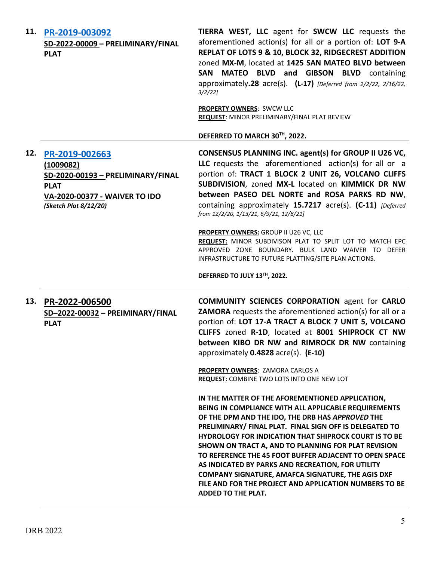| 11. | PR-2019-003092<br>SD-2022-00009 - PRELIMINARY/FINAL<br><b>PLAT</b> | TIERRA WEST, LLC agent for SWCW LLC requests the<br>aforementioned action(s) for all or a portion of: LOT 9-A<br>REPLAT OF LOTS 9 & 10, BLOCK 32, RIDGECREST ADDITION<br>zoned MX-M, located at 1425 SAN MATEO BLVD between<br>MATEO BLVD and GIBSON BLVD containing<br>SAN<br>approximately.28 acre(s). $(L-17)$ [Deferred from 2/2/22, 2/16/22,<br>3/2/221 |
|-----|--------------------------------------------------------------------|--------------------------------------------------------------------------------------------------------------------------------------------------------------------------------------------------------------------------------------------------------------------------------------------------------------------------------------------------------------|
|     |                                                                    | <b>PROPERTY OWNERS: SWCW LLC</b><br>REQUEST: MINOR PRELIMINARY/FINAL PLAT REVIEW                                                                                                                                                                                                                                                                             |

### **DEFERRED TO MARCH 30TH, 2022.**

### **12. [PR-2019-002663](http://data.cabq.gov/government/planning/DRB/PR-2019-002663/DRB%20Submittals/) (1009082) SD-2020-00193 – PRELIMINARY/FINAL PLAT VA-2020-00377 - WAIVER TO IDO** *(Sketch Plat 8/12/20)*

**CONSENSUS PLANNING INC. agent(s) for GROUP II U26 VC, LLC** requests the aforementioned action(s) for all or a portion of: **TRACT 1 BLOCK 2 UNIT 26, VOLCANO CLIFFS SUBDIVISION**, zoned **MX-L** located on **KIMMICK DR NW between PASEO DEL NORTE and ROSA PARKS RD NW**, containing approximately **15.7217** acre(s). **(C-11)** *[Deferred from 12/2/20, 1/13/21, 6/9/21, 12/8/21]*

**PROPERTY OWNERS:** GROUP II U26 VC, LLC

**REQUEST:** MINOR SUBDIVISON PLAT TO SPLIT LOT TO MATCH EPC APPROVED ZONE BOUNDARY. BULK LAND WAIVER TO DEFER INFRASTRUCTURE TO FUTURE PLATTING/SITE PLAN ACTIONS.

**DEFERRED TO JULY 13TH, 2022.**

### **13. [PR-2022-006500](http://data.cabq.gov/government/planning/DRB/PR-2022-006500/DRB%20Submittals/PR-2022-006500_March_9_2022%20(P&F)/) SD–2022-00032 – PREIMINARY/FINAL PLAT**

**COMMUNITY SCIENCES CORPORATION** agent for **CARLO ZAMORA** requests the aforementioned action(s) for all or a portion of: **LOT 17-A TRACT A BLOCK 7 UNIT 5, VOLCANO CLIFFS** zoned **R-1D**, located at **8001 SHIPROCK CT NW between KIBO DR NW and RIMROCK DR NW** containing approximately **0.4828** acre(s). **(E-10)**

**PROPERTY OWNERS**: ZAMORA CARLOS A **REQUEST**: COMBINE TWO LOTS INTO ONE NEW LOT

**IN THE MATTER OF THE AFOREMENTIONED APPLICATION, BEING IN COMPLIANCE WITH ALL APPLICABLE REQUIREMENTS OF THE DPM AND THE IDO, THE DRB HAS** *APPROVED* **THE PRELIMINARY/ FINAL PLAT. FINAL SIGN OFF IS DELEGATED TO HYDROLOGY FOR INDICATION THAT SHIPROCK COURT IS TO BE SHOWN ON TRACT A, AND TO PLANNING FOR PLAT REVISION TO REFERENCE THE 45 FOOT BUFFER ADJACENT TO OPEN SPACE AS INDICATED BY PARKS AND RECREATION, FOR UTILITY COMPANY SIGNATURE, AMAFCA SIGNATURE, THE AGIS DXF FILE AND FOR THE PROJECT AND APPLICATION NUMBERS TO BE ADDED TO THE PLAT.**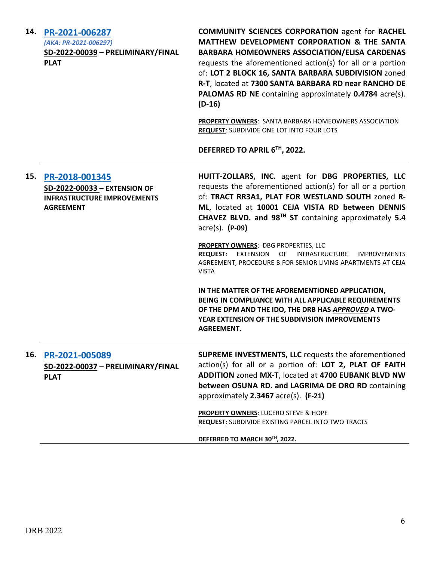| 14. | PR-2021-006287<br>(AKA: PR-2021-006297)<br>SD-2022-00039 - PRELIMINARY/FINAL<br><b>PLAT</b>              | <b>COMMUNITY SCIENCES CORPORATION agent for RACHEL</b><br>MATTHEW DEVELOPMENT CORPORATION & THE SANTA<br><b>BARBARA HOMEOWNERS ASSOCIATION/ELISA CARDENAS</b><br>requests the aforementioned action(s) for all or a portion<br>of: LOT 2 BLOCK 16, SANTA BARBARA SUBDIVISION zoned<br>R-T, located at 7300 SANTA BARBARA RD near RANCHO DE<br>PALOMAS RD NE containing approximately 0.4784 acre(s).<br>$(D-16)$ |
|-----|----------------------------------------------------------------------------------------------------------|------------------------------------------------------------------------------------------------------------------------------------------------------------------------------------------------------------------------------------------------------------------------------------------------------------------------------------------------------------------------------------------------------------------|
|     |                                                                                                          | PROPERTY OWNERS: SANTA BARBARA HOMEOWNERS ASSOCIATION<br><b>REQUEST: SUBDIVIDE ONE LOT INTO FOUR LOTS</b>                                                                                                                                                                                                                                                                                                        |
|     |                                                                                                          | DEFERRED TO APRIL 6TH, 2022.                                                                                                                                                                                                                                                                                                                                                                                     |
| 15. | PR-2018-001345<br>SD-2022-00033 - EXTENSION OF<br><b>INFRASTRUCTURE IMPROVEMENTS</b><br><b>AGREEMENT</b> | HUITT-ZOLLARS, INC. agent for DBG PROPERTIES, LLC<br>requests the aforementioned action(s) for all or a portion<br>of: TRACT RR3A1, PLAT FOR WESTLAND SOUTH zoned R-<br>ML, located at 10001 CEJA VISTA RD between DENNIS<br>CHAVEZ BLVD. and 98 <sup>TH</sup> ST containing approximately 5.4<br>$\arccos 0$ . (P-09)                                                                                           |
|     |                                                                                                          | <b>PROPERTY OWNERS: DBG PROPERTIES, LLC</b><br>REQUEST: EXTENSION OF INFRASTRUCTURE IMPROVEMENTS<br>AGREEMENT, PROCEDURE B FOR SENIOR LIVING APARTMENTS AT CEJA<br><b>VISTA</b>                                                                                                                                                                                                                                  |
|     |                                                                                                          | IN THE MATTER OF THE AFOREMENTIONED APPLICATION,<br>BEING IN COMPLIANCE WITH ALL APPLICABLE REQUIREMENTS<br>OF THE DPM AND THE IDO, THE DRB HAS APPROVED A TWO-<br>YEAR EXTENSION OF THE SUBDIVISION IMPROVEMENTS<br><b>AGREEMENT.</b>                                                                                                                                                                           |
| 16. | PR-2021-005089<br>SD-2022-00037 - PRELIMINARY/FINAL<br><b>PLAT</b>                                       | <b>SUPREME INVESTMENTS, LLC</b> requests the aforementioned<br>action(s) for all or a portion of: LOT 2, PLAT OF FAITH<br>ADDITION zoned MX-T, located at 4700 EUBANK BLVD NW<br>between OSUNA RD. and LAGRIMA DE ORO RD containing<br>approximately 2.3467 acre(s). (F-21)                                                                                                                                      |
|     |                                                                                                          | PROPERTY OWNERS: LUCERO STEVE & HOPE<br><b>REQUEST:</b> SUBDIVIDE EXISTING PARCEL INTO TWO TRACTS                                                                                                                                                                                                                                                                                                                |
|     |                                                                                                          | DEFERRED TO MARCH 30TH, 2022.                                                                                                                                                                                                                                                                                                                                                                                    |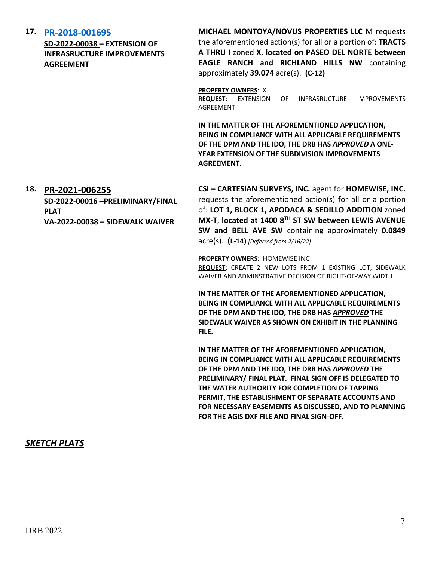| 17. | PR-2018-001695<br>SD-2022-00038 - EXTENSION OF<br><b>INFRASRUCTURE IMPROVEMENTS</b><br><b>AGREEMENT</b> | MICHAEL MONTOYA/NOVUS PROPERTIES LLC M requests<br>the aforementioned action(s) for all or a portion of: TRACTS<br>A THRU I zoned X, located on PASEO DEL NORTE between<br>EAGLE RANCH and RICHLAND HILLS NW containing<br>approximately 39.074 acre(s). (C-12)                                                                                                                                                                      |
|-----|---------------------------------------------------------------------------------------------------------|--------------------------------------------------------------------------------------------------------------------------------------------------------------------------------------------------------------------------------------------------------------------------------------------------------------------------------------------------------------------------------------------------------------------------------------|
|     |                                                                                                         | <b>PROPERTY OWNERS: X</b><br><b>EXTENSION</b><br><b>REQUEST:</b><br>OF.<br>INFRASRUCTURE<br><b>IMPROVEMENTS</b><br><b>AGREEMENT</b>                                                                                                                                                                                                                                                                                                  |
|     |                                                                                                         | IN THE MATTER OF THE AFOREMENTIONED APPLICATION,<br>BEING IN COMPLIANCE WITH ALL APPLICABLE REQUIREMENTS<br>OF THE DPM AND THE IDO, THE DRB HAS APPROVED A ONE-<br>YEAR EXTENSION OF THE SUBDIVISION IMPROVEMENTS<br><b>AGREEMENT.</b>                                                                                                                                                                                               |
| 18. | PR-2021-006255<br>SD-2022-00016-PRELIMINARY/FINAL<br><b>PLAT</b><br>VA-2022-00038 - SIDEWALK WAIVER     | CSI - CARTESIAN SURVEYS, INC. agent for HOMEWISE, INC.<br>requests the aforementioned action(s) for all or a portion<br>of: LOT 1, BLOCK 1, APODACA & SEDILLO ADDITION zoned<br>MX-T, located at 1400 8TH ST SW between LEWIS AVENUE<br>SW and BELL AVE SW containing approximately 0.0849<br>$\text{acre}(s)$ . (L-14) [Deferred from 2/16/22]                                                                                      |
|     |                                                                                                         | <b>PROPERTY OWNERS: HOMEWISE INC</b><br>REQUEST: CREATE 2 NEW LOTS FROM 1 EXISTING LOT, SIDEWALK<br>WAIVER AND ADMINSTRATIVE DECISION OF RIGHT-OF-WAY WIDTH                                                                                                                                                                                                                                                                          |
|     |                                                                                                         | IN THE MATTER OF THE AFOREMENTIONED APPLICATION,<br>BEING IN COMPLIANCE WITH ALL APPLICABLE REQUIREMENTS<br>OF THE DPM AND THE IDO, THE DRB HAS APPROVED THE<br>SIDEWALK WAIVER AS SHOWN ON EXHIBIT IN THE PLANNING<br>FILE.                                                                                                                                                                                                         |
|     |                                                                                                         | IN THE MATTER OF THE AFOREMENTIONED APPLICATION,<br>BEING IN COMPLIANCE WITH ALL APPLICABLE REQUIREMENTS<br>OF THE DPM AND THE IDO, THE DRB HAS APPROVED THE<br>PRELIMINARY/ FINAL PLAT. FINAL SIGN OFF IS DELEGATED TO<br>THE WATER AUTHORITY FOR COMPLETION OF TAPPING<br>PERMIT, THE ESTABLISHMENT OF SEPARATE ACCOUNTS AND<br>FOR NECESSARY EASEMENTS AS DISCUSSED, AND TO PLANNING<br>FOR THE AGIS DXF FILE AND FINAL SIGN-OFF. |

# *SKETCH PLATS*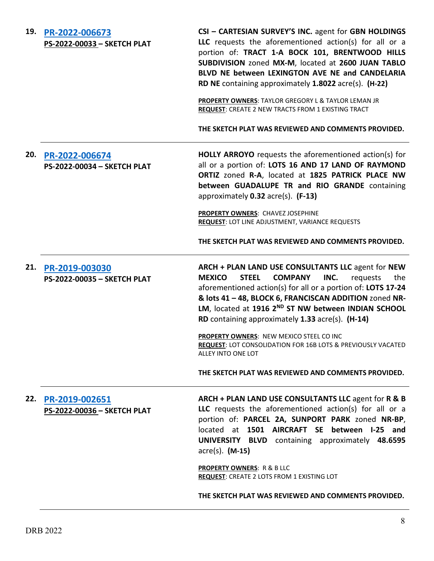| 19. | PR-2022-006673<br>PS-2022-00033 - SKETCH PLAT | CSI - CARTESIAN SURVEY'S INC. agent for GBN HOLDINGS<br>LLC requests the aforementioned action(s) for all or a<br>portion of: TRACT 1-A BOCK 101, BRENTWOOD HILLS<br>SUBDIVISION zoned MX-M, located at 2600 JUAN TABLO<br>BLVD NE between LEXINGTON AVE NE and CANDELARIA<br>RD NE containing approximately 1.8022 acre(s). (H-22)<br>PROPERTY OWNERS: TAYLOR GREGORY L & TAYLOR LEMAN JR<br>REQUEST: CREATE 2 NEW TRACTS FROM 1 EXISTING TRACT |
|-----|-----------------------------------------------|--------------------------------------------------------------------------------------------------------------------------------------------------------------------------------------------------------------------------------------------------------------------------------------------------------------------------------------------------------------------------------------------------------------------------------------------------|
|     |                                               | THE SKETCH PLAT WAS REVIEWED AND COMMENTS PROVIDED.                                                                                                                                                                                                                                                                                                                                                                                              |
| 20. | PR-2022-006674<br>PS-2022-00034 - SKETCH PLAT | <b>HOLLY ARROYO</b> requests the aforementioned action(s) for<br>all or a portion of: LOTS 16 AND 17 LAND OF RAYMOND<br>ORTIZ zoned R-A, located at 1825 PATRICK PLACE NW<br>between GUADALUPE TR and RIO GRANDE containing<br>approximately 0.32 acre(s). (F-13)                                                                                                                                                                                |
|     |                                               | <b>PROPERTY OWNERS: CHAVEZ JOSEPHINE</b><br><b>REQUEST: LOT LINE ADJUSTMENT, VARIANCE REQUESTS</b>                                                                                                                                                                                                                                                                                                                                               |
|     |                                               | THE SKETCH PLAT WAS REVIEWED AND COMMENTS PROVIDED.                                                                                                                                                                                                                                                                                                                                                                                              |
| 21. | PR-2019-003030<br>PS-2022-00035 - SKETCH PLAT | ARCH + PLAN LAND USE CONSULTANTS LLC agent for NEW<br><b>COMPANY</b><br><b>MEXICO</b><br><b>STEEL</b><br>INC.<br>requests<br>the<br>aforementioned action(s) for all or a portion of: LOTS 17-24<br>& lots 41 - 48, BLOCK 6, FRANCISCAN ADDITION zoned NR-<br>LM, located at 1916 2ND ST NW between INDIAN SCHOOL<br>RD containing approximately 1.33 acre(s). (H-14)                                                                            |
|     |                                               | PROPERTY OWNERS: NEW MEXICO STEEL CO INC<br><b>REQUEST</b> : LOT CONSOLIDATION FOR 16B LOTS & PREVIOUSLY VACATED<br>ALLEY INTO ONE LOT                                                                                                                                                                                                                                                                                                           |
|     |                                               | THE SKETCH PLAT WAS REVIEWED AND COMMENTS PROVIDED.                                                                                                                                                                                                                                                                                                                                                                                              |
| 22. | PR-2019-002651<br>PS-2022-00036 - SKETCH PLAT | ARCH + PLAN LAND USE CONSULTANTS LLC agent for R & B<br>LLC requests the aforementioned action(s) for all or a<br>portion of: PARCEL 2A, SUNPORT PARK zoned NR-BP,<br>located at 1501 AIRCRAFT SE between I-25 and<br>UNIVERSITY BLVD containing approximately 48.6595<br>$\text{acre}(s)$ . (M-15)                                                                                                                                              |
|     |                                               | <b>PROPERTY OWNERS: R &amp; B LLC</b><br><b>REQUEST: CREATE 2 LOTS FROM 1 EXISTING LOT</b>                                                                                                                                                                                                                                                                                                                                                       |
|     |                                               | THE SKETCH PLAT WAS REVIEWED AND COMMENTS PROVIDED.                                                                                                                                                                                                                                                                                                                                                                                              |